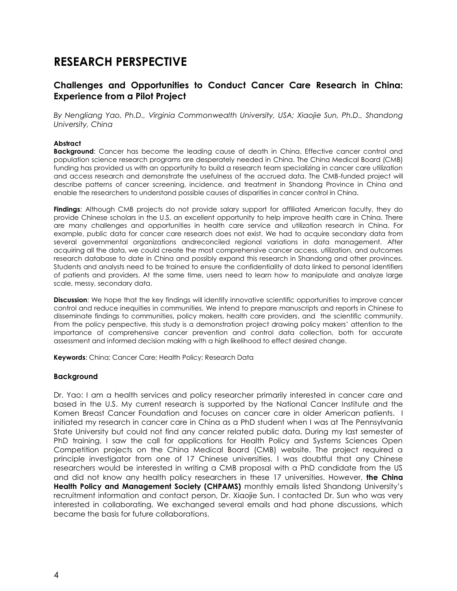# **RESEARCH PERSPECTIVE**

# **Challenges and Opportunities to Conduct Cancer Care Research in China: Experience from a Pilot Project**

*By Nengliang Yao, Ph.D., Virginia Commonwealth University, USA; Xiaojie Sun, Ph.D., Shandong University, China*

#### **Abstract**

**Background:** Cancer has become the leading cause of death in China. Effective cancer control and population science research programs are desperately needed in China. The China Medical Board (CMB) funding has provided us with an opportunity to build a research team specializing in cancer care utilization and access research and demonstrate the usefulness of the accrued data. The CMB-funded project will describe patterns of cancer screening, incidence, and treatment in Shandong Province in China and enable the researchers to understand possible causes of disparities in cancer control in China.

**Findings**: Although CMB projects do not provide salary support for affiliated American faculty, they do provide Chinese scholars in the U.S. an excellent opportunity to help improve health care in China. There are many challenges and opportunities in health care service and utilization research in China. For example, public data for cancer care research does not exist. We had to acquire secondary data from several governmental organizations andreconciled regional variations in data management. After acquiring all the data, we could create the most comprehensive cancer access, utilization, and outcomes research database to date in China and possibly expand this research in Shandong and other provinces. Students and analysts need to be trained to ensure the confidentiality of data linked to personal identifiers of patients and providers. At the same time, users need to learn how to manipulate and analyze large scale, messy, secondary data.

**Discussion**: We hope that the key findings will identify innovative scientific opportunities to improve cancer control and reduce inequities in communities. We intend to prepare manuscripts and reports in Chinese to disseminate findings to communities, policy makers, health care providers, and the scientific community. From the policy perspective, this study is a demonstration project drawing policy makers' attention to the importance of comprehensive cancer prevention and control data collection, both for accurate assessment and informed decision making with a high likelihood to effect desired change.

**Keywords**: China; Cancer Care; Health Policy; Research Data

#### **Background**

Dr. Yao: I am a health services and policy researcher primarily interested in cancer care and based in the U.S. My current research is supported by the National Cancer Institute and the Komen Breast Cancer Foundation and focuses on cancer care in older American patients. I initiated my research in cancer care in China as a PhD student when I was at The Pennsylvania State University but could not find any cancer related public data. During my last semester of PhD training, I saw the call for applications for Health Policy and Systems Sciences Open Competition projects on the China Medical Board (CMB) website. The project required a principle investigator from one of 17 Chinese universities. I was doubtful that any Chinese researchers would be interested in writing a CMB proposal with a PhD candidate from the US and did not know any health policy researchers in these 17 universities. However, **the China**  Health Policy and Management Society (CHPAMS) monthly emails listed Shandong University's recruitment information and contact person, Dr. Xiaojie Sun. I contacted Dr. Sun who was very interested in collaborating. We exchanged several emails and had phone discussions, which became the basis for future collaborations.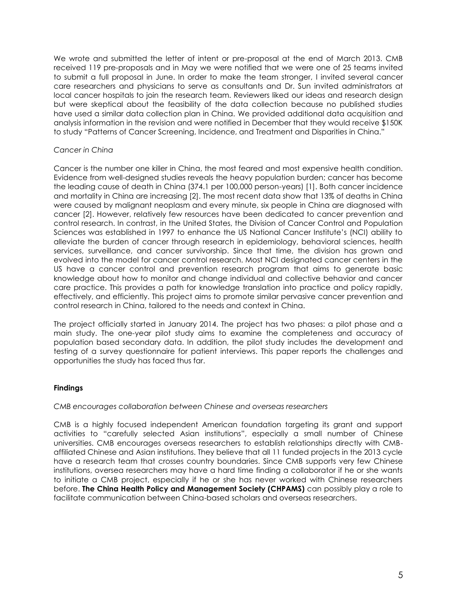We wrote and submitted the letter of intent or pre-proposal at the end of March 2013. CMB received 119 pre-proposals and in May we were notified that we were one of 25 teams invited to submit a full proposal in June. In order to make the team stronger, I invited several cancer care researchers and physicians to serve as consultants and Dr. Sun invited administrators at local cancer hospitals to join the research team. Reviewers liked our ideas and research design but were skeptical about the feasibility of the data collection because no published studies have used a similar data collection plan in China. We provided additional data acquisition and analysis information in the revision and were notified in December that they would receive \$150K to study "Patterns of Cancer Screening, Incidence, and Treatment and Disparities in China."

# *Cancer in China*

Cancer is the number one killer in China, the most feared and most expensive health condition. Evidence from well-designed studies reveals the heavy population burden; cancer has become the leading cause of death in China (374.1 per 100,000 person-years) [1]. Both cancer incidence and mortality in China are increasing [2]. The most recent data show that 13% of deaths in China were caused by malignant neoplasm and every minute, six people in China are diagnosed with cancer [2]. However, relatively few resources have been dedicated to cancer prevention and control research. In contrast, in the United States, the Division of Cancer Control and Population Sciences was established in 1997 to enhance the US National Cancer Institute's (NCI) ability to alleviate the burden of cancer through research in epidemiology, behavioral sciences, health services, surveillance, and cancer survivorship. Since that time, the division has grown and evolved into the model for cancer control research. Most NCI designated cancer centers in the US have a cancer control and prevention research program that aims to generate basic knowledge about how to monitor and change individual and collective behavior and cancer care practice. This provides a path for knowledge translation into practice and policy rapidly, effectively, and efficiently. This project aims to promote similar pervasive cancer prevention and control research in China, tailored to the needs and context in China.

The project officially started in January 2014. The project has two phases: a pilot phase and a main study. The one-year pilot study aims to examine the completeness and accuracy of population based secondary data. In addition, the pilot study includes the development and testing of a survey questionnaire for patient interviews. This paper reports the challenges and opportunities the study has faced thus far.

#### **Findings**

#### *CMB encourages collaboration between Chinese and overseas researchers*

CMB is a highly focused independent American foundation targeting its grant and support activities to "carefully selected Asian institutions", especially a small number of Chinese universities. CMB encourages overseas researchers to establish relationships directly with CMBaffiliated Chinese and Asian institutions. They believe that all 11 funded projects in the 2013 cycle have a research team that crosses country boundaries. Since CMB supports very few Chinese institutions, oversea researchers may have a hard time finding a collaborator if he or she wants to initiate a CMB project, especially if he or she has never worked with Chinese researchers before. **The China Health Policy and Management Society (CHPAMS)** can possibly play a role to facilitate communication between China-based scholars and overseas researchers.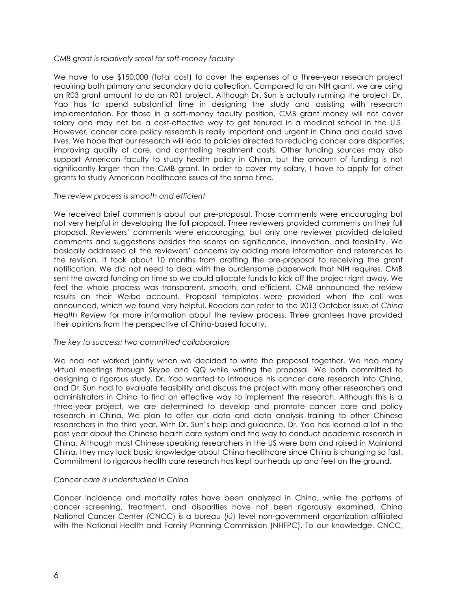#### *CMB grant is relatively small for soft-money faculty*

We have to use \$150,000 (total cost) to cover the expenses of a three-year research project requiring both primary and secondary data collection. Compared to an NIH grant, we are using an R03 grant amount to do an R01 project. Although Dr. Sun is actually running the project, Dr. Yao has to spend substantial time in designing the study and assisting with research implementation. For those in a soft-money faculty position, CMB grant money will not cover salary and may not be a cost-effective way to get tenured in a medical school in the U.S. However, cancer care policy research is really important and urgent in China and could save lives. We hope that our research will lead to policies directed to reducing cancer care disparities, improving quality of care, and controlling treatment costs. Other funding sources may also support American faculty to study health policy in China, but the amount of funding is not significantly larger than the CMB grant. In order to cover my salary, I have to apply for other grants to study American healthcare issues at the same time.

#### *The review process is smooth and efficient*

We received brief comments about our pre-proposal. Those comments were encouraging but not very helpful in developing the full proposal. Three reviewers provided comments on their full proposal. Reviewers' comments were encouraging, but only one reviewer provided detailed comments and suggestions besides the scores on significance, innovation, and feasibility. We basically addressed all the reviewers' concerns by adding more information and references to the revision. It took about 10 months from drafting the pre-proposal to receiving the grant notification. We did not need to deal with the burdensome paperwork that NIH requires. CMB sent the award funding on time so we could allocate funds to kick off the project right away. We feel the whole process was transparent, smooth, and efficient. CMB announced the review results on their Weibo account. Proposal templates were provided when the call was announced, which we found very helpful. Readers can refer to the 2013 October issue of *China Health Review* for more information about the review process. Three grantees have provided their opinions from the perspective of China-based faculty.

#### *The key to success: two committed collaborators*

We had not worked jointly when we decided to write the proposal together. We had many virtual meetings through Skype and QQ while writing the proposal. We both committed to designing a rigorous study. Dr. Yao wanted to introduce his cancer care research into China, and Dr. Sun had to evaluate feasibility and discuss the project with many other researchers and administrators in China to find an effective way to implement the research. Although this is a three-year project, we are determined to develop and promote cancer care and policy research in China. We plan to offer our data and data analysis training to other Chinese researchers in the third year. With Dr. Sun's help and guidance, Dr. Yao has learned a lot in the past year about the Chinese health care system and the way to conduct academic research in China. Although most Chinese speaking researchers in the US were born and raised in Mainland China, they may lack basic knowledge about China healthcare since China is changing so fast. Commitment to rigorous health care research has kept our heads up and feet on the ground.

#### *Cancer care is understudied in China*

Cancer incidence and mortality rates have been analyzed in China, while the patterns of cancer screening, treatment, and disparities have not been rigorously examined. China National Cancer Center (CNCC) is a bureau (*jú*) level non-government organization affiliated with the National Health and Family Planning Commission (NHFPC). To our knowledge, CNCC,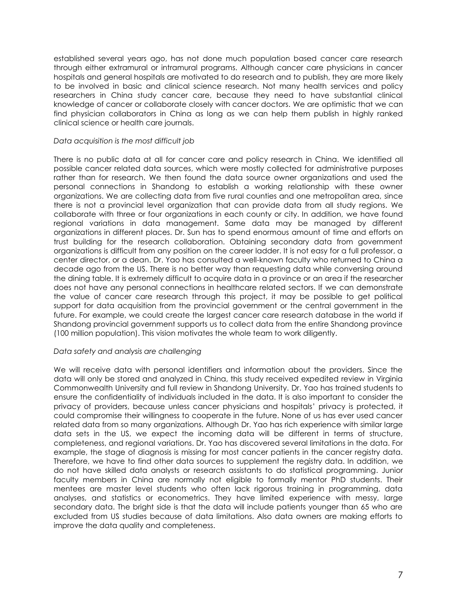established several years ago, has not done much population based cancer care research through either extramural or intramural programs. Although cancer care physicians in cancer hospitals and general hospitals are motivated to do research and to publish, they are more likely to be involved in basic and clinical science research. Not many health services and policy researchers in China study cancer care, because they need to have substantial clinical knowledge of cancer or collaborate closely with cancer doctors. We are optimistic that we can find physician collaborators in China as long as we can help them publish in highly ranked clinical science or health care journals.

#### *Data acquisition is the most difficult job*

There is no public data at all for cancer care and policy research in China. We identified all possible cancer related data sources, which were mostly collected for administrative purposes rather than for research. We then found the data source owner organizations and used the personal connections in Shandong to establish a working relationship with these owner organizations. We are collecting data from five rural counties and one metropolitan area, since there is not a provincial level organization that can provide data from all study regions. We collaborate with three or four organizations in each county or city. In addition, we have found regional variations in data management. Same data may be managed by different organizations in different places. Dr. Sun has to spend enormous amount of time and efforts on trust building for the research collaboration. Obtaining secondary data from government organizations is difficult from any position on the career ladder. It is not easy for a full professor, a center director, or a dean. Dr. Yao has consulted a well-known faculty who returned to China a decade ago from the US. There is no better way than requesting data while conversing around the dining table. It is extremely difficult to acquire data in a province or an area if the researcher does not have any personal connections in healthcare related sectors. If we can demonstrate the value of cancer care research through this project, it may be possible to get political support for data acquisition from the provincial government or the central government in the future. For example, we could create the largest cancer care research database in the world if Shandong provincial government supports us to collect data from the entire Shandong province (100 million population). This vision motivates the whole team to work diligently.

#### *Data safety and analysis are challenging*

We will receive data with personal identifiers and information about the providers. Since the data will only be stored and analyzed in China, this study received expedited review in Virginia Commonwealth University and full review in Shandong University. Dr. Yao has trained students to ensure the confidentiality of individuals included in the data. It is also important to consider the privacy of providers, because unless cancer physicians and hospitals' privacy is protected, it could compromise their willingness to cooperate in the future. None of us has ever used cancer related data from so many organizations. Although Dr. Yao has rich experience with similar large data sets in the US, we expect the incoming data will be different in terms of structure, completeness, and regional variations. Dr. Yao has discovered several limitations in the data. For example, the stage of diagnosis is missing for most cancer patients in the cancer registry data. Therefore, we have to find other data sources to supplement the registry data. In addition, we do not have skilled data analysts or research assistants to do statistical programming. Junior faculty members in China are normally not eligible to formally mentor PhD students. Their mentees are master level students who often lack rigorous training in programming, data analyses, and statistics or econometrics. They have limited experience with messy, large secondary data. The bright side is that the data will include patients younger than 65 who are excluded from US studies because of data limitations. Also data owners are making efforts to improve the data quality and completeness.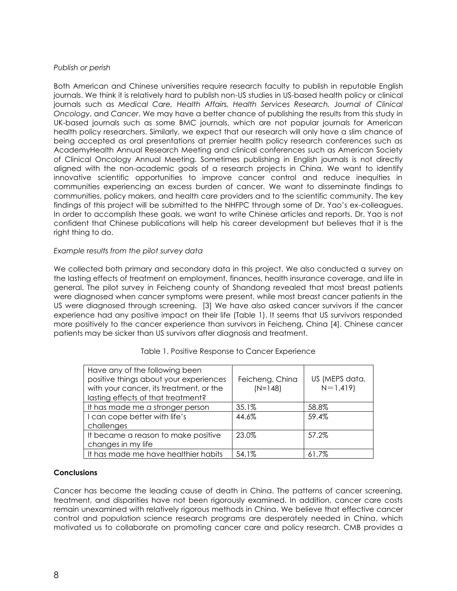#### *Publish or perish*

Both American and Chinese universities require research faculty to publish in reputable English journals. We think it is relatively hard to publish non-US studies in US-based health policy or clinical journals such as *Medical Care, Health Affairs, Health Services Research, Journal of Clinical Oncology*, and *Cancer*. We may have a better chance of publishing the results from this study in UK-based journals such as some BMC journals, which are not popular journals for American health policy researchers. Similarly, we expect that our research will only have a slim chance of being accepted as oral presentations at premier health policy research conferences such as AcademyHealth Annual Research Meeting and clinical conferences such as American Society of Clinical Oncology Annual Meeting. Sometimes publishing in English journals is not directly aligned with the non-academic goals of a research projects in China. We want to identify innovative scientific opportunities to improve cancer control and reduce inequities in communities experiencing an excess burden of cancer. We want to disseminate findings to communities, policy makers, and health care providers and to the scientific community. The key findings of this project will be submitted to the NHFPC through some of Dr. Yao's ex-colleagues. In order to accomplish these goals, we want to write Chinese articles and reports. Dr. Yao is not confident that Chinese publications will help his career development but believes that it is the right thing to do.

### *Example results from the pilot survey data*

We collected both primary and secondary data in this project. We also conducted a survey on the lasting effects of treatment on employment, finances, health insurance coverage, and life in general. The pilot survey in Feicheng county of Shandong revealed that most breast patients were diagnosed when cancer symptoms were present, while most breast cancer patients in the US were diagnosed through screening. [3] We have also asked cancer survivors if the cancer experience had any positive impact on their life (Table 1). It seems that US survivors responded more positively to the cancer experience than survivors in Feicheng, China [4]. Chinese cancer patients may be sicker than US survivors after diagnosis and treatment.

| Have any of the following been<br>positive things about your experiences<br>with your cancer, its treatment, or the<br>lasting effects of that treatment? | Feicheng, China<br>$(N=148)$ | US (MEPS data,<br>$N=1,419$ |
|-----------------------------------------------------------------------------------------------------------------------------------------------------------|------------------------------|-----------------------------|
| It has made me a stronger person                                                                                                                          | 35.1%                        | 58.8%                       |
| I can cope better with life's                                                                                                                             | 44.6%                        | 59.4%                       |
| challenges                                                                                                                                                |                              |                             |
| It became a reason to make positive                                                                                                                       | 23.0%                        | 57.2%                       |
| changes in my life                                                                                                                                        |                              |                             |
| It has made me have healthier habits                                                                                                                      | 54.1%                        | 61.7%                       |

# Table 1. Positive Response to Cancer Experience

#### **Conclusions**

Cancer has become the leading cause of death in China. The patterns of cancer screening, treatment, and disparities have not been rigorously examined. In addition, cancer care costs remain unexamined with relatively rigorous methods in China. We believe that effective cancer control and population science research programs are desperately needed in China, which motivated us to collaborate on promoting cancer care and policy research. CMB provides a